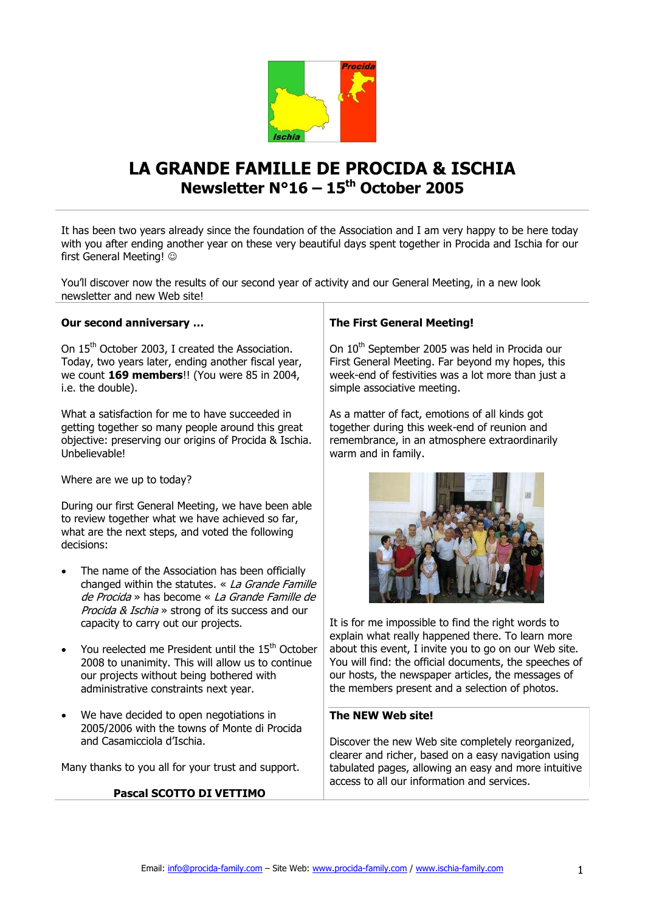

# **LA GRANDE FAMILLE DE PROCIDA & ISCHIA Newsletter N°16 – 15th October 2005**

It has been two years already since the foundation of the Association and I am very happy to be here today with you after ending another year on these very beautiful days spent together in Procida and Ischia for our first General Meeting!

You'll discover now the results of our second year of activity and our General Meeting, in a new look newsletter and new Web site!

### **Our second anniversary …**

On 15<sup>th</sup> October 2003, I created the Association. Today, two years later, ending another fiscal year, we count **169 members**!! (You were 85 in 2004, i.e. the double).

What a satisfaction for me to have succeeded in getting together so many people around this great objective: preserving our origins of Procida & Ischia. Unbelievable!

Where are we up to today?

During our first General Meeting, we have been able to review together what we have achieved so far, what are the next steps, and voted the following decisions:

- The name of the Association has been officially changed within the statutes. « La Grande Famille de Procida » has become « La Grande Famille de Procida & Ischia » strong of its success and our capacity to carry out our projects.
- You reelected me President until the 15<sup>th</sup> October 2008 to unanimity. This will allow us to continue our projects without being bothered with administrative constraints next year.
- We have decided to open negotiations in 2005/2006 with the towns of Monte di Procida and Casamicciola d'Ischia.

Many thanks to you all for your trust and support.

### **Pascal SCOTTO DI VETTIMO**

### **The First General Meeting!**

On 10<sup>th</sup> September 2005 was held in Procida our First General Meeting. Far beyond my hopes, this week-end of festivities was a lot more than just a simple associative meeting.

As a matter of fact, emotions of all kinds got together during this week-end of reunion and remembrance, in an atmosphere extraordinarily warm and in family.



It is for me impossible to find the right words to explain what really happened there. To learn more about this event, I invite you to go on our Web site. You will find: the official documents, the speeches of our hosts, the newspaper articles, the messages of the members present and a selection of photos.

#### **The NEW Web site!**

Discover the new Web site completely reorganized, clearer and richer, based on a easy navigation using tabulated pages, allowing an easy and more intuitive access to all our information and services.